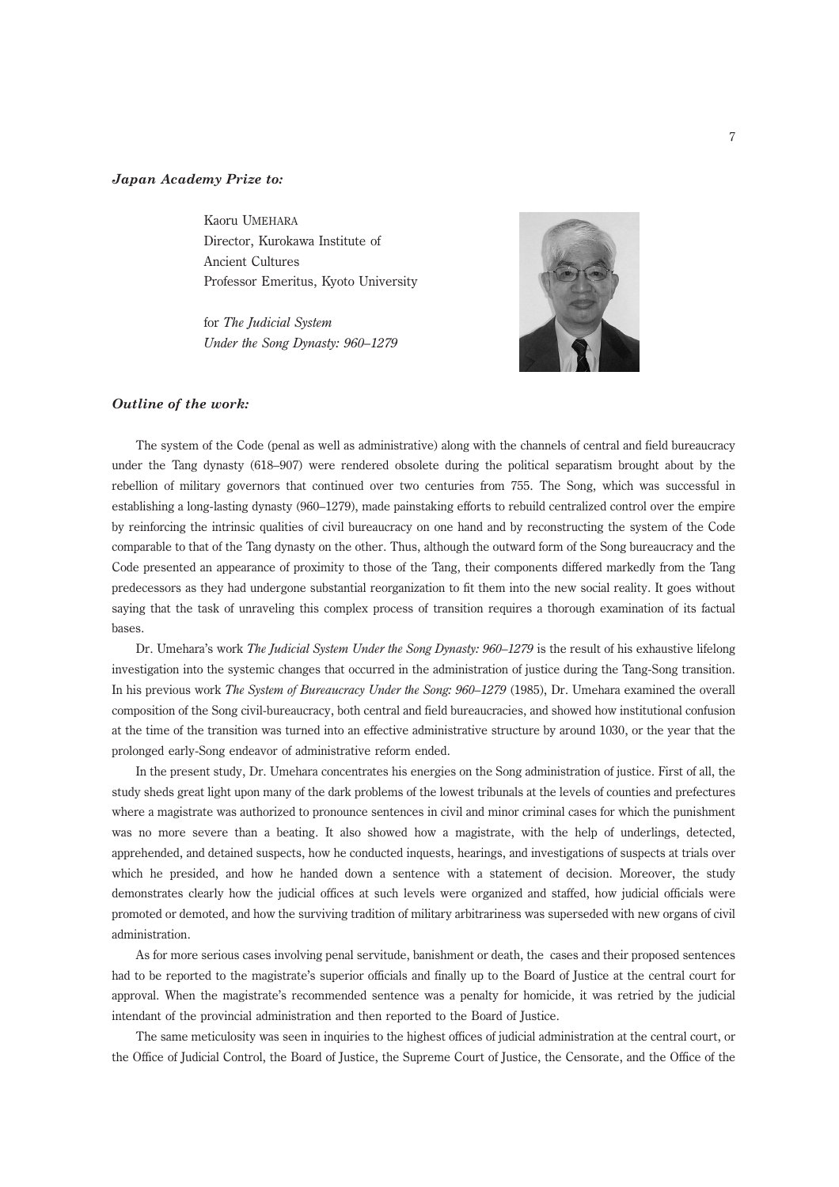## Japan Academy Prize to:

Kaoru UMEHARA Director, Kurokawa Institute of Ancient Cultures Professor Emeritus, Kyoto University

for The Judicial System Under the Song Dynasty: 960–1279



## Outline of the work:

The system of the Code (penal as well as administrative) along with the channels of central and field bureaucracy under the Tang dynasty (618–907) were rendered obsolete during the political separatism brought about by the rebellion of military governors that continued over two centuries from 755. The Song, which was successful in establishing a long-lasting dynasty (960–1279), made painstaking efforts to rebuild centralized control over the empire by reinforcing the intrinsic qualities of civil bureaucracy on one hand and by reconstructing the system of the Code comparable to that of the Tang dynasty on the other. Thus, although the outward form of the Song bureaucracy and the Code presented an appearance of proximity to those of the Tang, their components differed markedly from the Tang predecessors as they had undergone substantial reorganization to fit them into the new social reality. It goes without saying that the task of unraveling this complex process of transition requires a thorough examination of its factual bases.

Dr. Umehara's work The Judicial System Under the Song Dynasty: 960–1279 is the result of his exhaustive lifelong investigation into the systemic changes that occurred in the administration of justice during the Tang-Song transition. In his previous work The System of Bureaucracy Under the Song: 960–1279 (1985), Dr. Umehara examined the overall composition of the Song civil-bureaucracy, both central and field bureaucracies, and showed how institutional confusion at the time of the transition was turned into an effective administrative structure by around 1030, or the year that the prolonged early-Song endeavor of administrative reform ended.

In the present study, Dr. Umehara concentrates his energies on the Song administration of justice. First of all, the study sheds great light upon many of the dark problems of the lowest tribunals at the levels of counties and prefectures where a magistrate was authorized to pronounce sentences in civil and minor criminal cases for which the punishment was no more severe than a beating. It also showed how a magistrate, with the help of underlings, detected, apprehended, and detained suspects, how he conducted inquests, hearings, and investigations of suspects at trials over which he presided, and how he handed down a sentence with a statement of decision. Moreover, the study demonstrates clearly how the judicial offices at such levels were organized and staffed, how judicial officials were promoted or demoted, and how the surviving tradition of military arbitrariness was superseded with new organs of civil administration.

As for more serious cases involving penal servitude, banishment or death, the cases and their proposed sentences had to be reported to the magistrate's superior officials and finally up to the Board of Justice at the central court for approval. When the magistrate's recommended sentence was a penalty for homicide, it was retried by the judicial intendant of the provincial administration and then reported to the Board of Justice.

The same meticulosity was seen in inquiries to the highest offices of judicial administration at the central court, or the Office of Judicial Control, the Board of Justice, the Supreme Court of Justice, the Censorate, and the Office of the